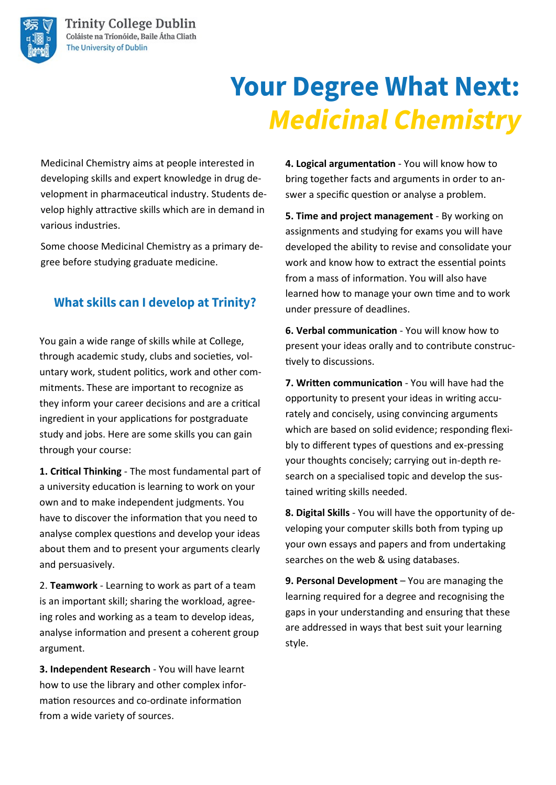# **Your Degree What Next: Medicinal Chemistry**

Medicinal Chemistry aims at people interested in developing skills and expert knowledge in drug development in pharmaceutical industry. Students develop highly attractive skills which are in demand in various industries.

Some choose Medicinal Chemistry as a primary degree before studying graduate medicine.

## **What skills can I develop at Trinity?**

You gain a wide range of skills while at College, through academic study, clubs and societies, voluntary work, student politics, work and other commitments. These are important to recognize as they inform your career decisions and are a critical ingredient in your applications for postgraduate study and jobs. Here are some skills you can gain through your course:

**1. Critical Thinking** - The most fundamental part of a university education is learning to work on your own and to make independent judgments. You have to discover the information that you need to analyse complex questions and develop your ideas about them and to present your arguments clearly and persuasively.

2. **Teamwork** - Learning to work as part of a team is an important skill; sharing the workload, agreeing roles and working as a team to develop ideas, analyse information and present a coherent group argument.

**3. Independent Research** - You will have learnt how to use the library and other complex information resources and co-ordinate information from a wide variety of sources.

**4. Logical argumentation** - You will know how to bring together facts and arguments in order to answer a specific question or analyse a problem.

**5. Time and project management** - By working on assignments and studying for exams you will have developed the ability to revise and consolidate your work and know how to extract the essential points from a mass of information. You will also have learned how to manage your own time and to work under pressure of deadlines.

**6. Verbal communication** - You will know how to present your ideas orally and to contribute constructively to discussions.

**7. Written communication** - You will have had the opportunity to present your ideas in writing accurately and concisely, using convincing arguments which are based on solid evidence; responding flexibly to different types of questions and ex-pressing your thoughts concisely; carrying out in-depth research on a specialised topic and develop the sustained writing skills needed.

**8. Digital Skills** - You will have the opportunity of developing your computer skills both from typing up your own essays and papers and from undertaking searches on the web & using databases.

**9. Personal Development** – You are managing the learning required for a degree and recognising the gaps in your understanding and ensuring that these are addressed in ways that best suit your learning style.